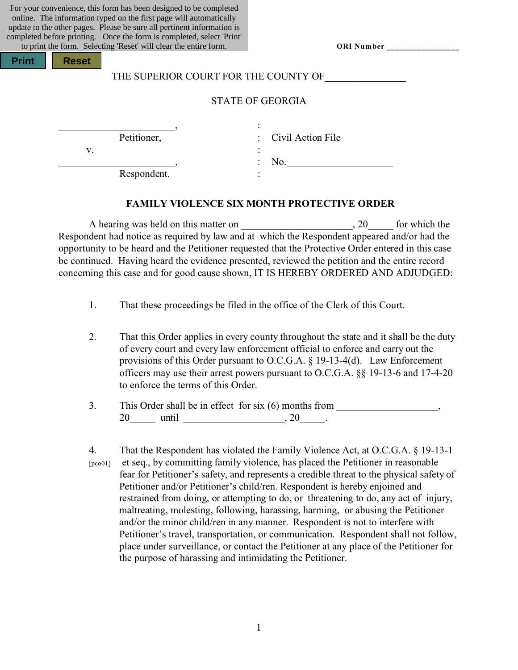For your convenience, this form has been designed to be completed online. The information typed on the first page will automatically update to the other pages. Please be sure all pertinent information is completed before printing. Once the form is completed, select 'Print' to print the form. Selecting 'Reset' will clear the entire form.

| ORI Number |  |
|------------|--|
|------------|--|

| <b>Print</b> |  | <b>Reset</b> |
|--------------|--|--------------|
|--------------|--|--------------|

## THE SUPERIOR COURT FOR THE COUNTY OF

#### STATE OF GEORGIA

Petitioner, : Civil Action File

Respondent.

\_\_\_\_\_\_\_\_\_\_\_\_\_\_\_\_\_\_\_\_\_\_\_, :

 $\mathbf{v}$ .  $\qquad \qquad$  :

 $\therefore$  No.

#### **FAMILY VIOLENCE SIX MONTH PROTECTIVE ORDER**

A hearing was held on this matter on  $\qquad \qquad , 20$  for which the Respondent had notice as required by law and at which the Respondent appeared and/or had the opportunity to be heard and the Petitioner requested that the Protective Order entered in this case be continued. Having heard the evidence presented, reviewed the petition and the entire record concerning this case and for good cause shown, IT IS HEREBY ORDERED AND ADJUDGED:

- 1. That these proceedings be filed in the office of the Clerk of this Court.
- 2. That this Order applies in every county throughout the state and it shall be the duty of every court and every law enforcement official to enforce and carry out the provisions of this Order pursuant to O.C.G.A. § 19-13-4(d). Law Enforcement officers may use their arrest powers pursuant to O.C.G.A. §§ 19-13-6 and 17-4-20 to enforce the terms of this Order.
- 3. This Order shall be in effect for six (6) months from \_\_\_\_\_\_\_\_\_\_\_\_\_\_\_\_,  $20$  until  $20$ ,  $20$
- 4. That the Respondent has violated the Family Violence Act, at O.C.G.A. § 19-13-1 [pco01] et seq., by committing family violence, has placed the Petitioner in reasonable fear for Petitioner's safety, and represents a credible threat to the physical safety of Petitioner and/or Petitioner's child/ren. Respondent is hereby enjoined and restrained from doing, or attempting to do, or threatening to do, any act of injury, maltreating, molesting, following, harassing, harming, or abusing the Petitioner and/or the minor child/ren in any manner. Respondent is not to interfere with Petitioner's travel, transportation, or communication. Respondent shall not follow, place under surveillance, or contact the Petitioner at any place of the Petitioner for the purpose of harassing and intimidating the Petitioner.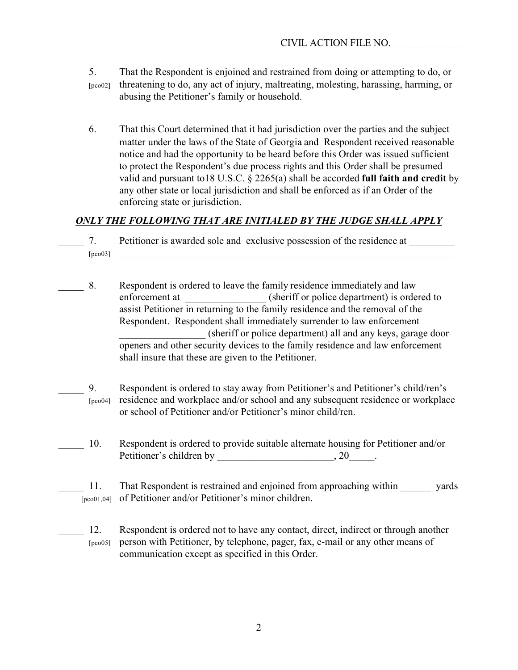- 5. That the Respondent is enjoined and restrained from doing or attempting to do, or [pco02] threatening to do, any act of injury, maltreating, molesting, harassing, harming, or abusing the Petitioner's family or household.
- 6. That this Court determined that it had jurisdiction over the parties and the subject matter under the laws of the State of Georgia and Respondent received reasonable notice and had the opportunity to be heard before this Order was issued sufficient to protect the Respondent's due process rights and this Order shall be presumed valid and pursuant to18 U.S.C. § 2265(a) shall be accorded **full faith and credit** by any other state or local jurisdiction and shall be enforced as if an Order of the enforcing state or jurisdiction.

## *ONLY THE FOLLOWING THAT ARE INITIALED BY THE JUDGE SHALL APPLY*

- 7. Petitioner is awarded sole and exclusive possession of the residence at  $[pco03]$   $\qquad$
- 8. Respondent is ordered to leave the family residence immediately and law enforcement at (sheriff or police department) is ordered to assist Petitioner in returning to the family residence and the removal of the Respondent. Respondent shall immediately surrender to law enforcement \_\_\_\_\_\_\_\_\_\_\_\_\_\_\_\_\_ (sheriff or police department) all and any keys, garage door openers and other security devices to the family residence and law enforcement shall insure that these are given to the Petitioner.
	- \_\_\_\_\_ 9. Respondent is ordered to stay away from Petitioner's and Petitioner's child/ren's [pco04] residence and workplace and/or school and any subsequent residence or workplace or school of Petitioner and/or Petitioner's minor child/ren.
	- \_\_\_\_\_ 10. Respondent is ordered to provide suitable alternate housing for Petitioner and/or Petitioner's children by  $, 20$ .
- 11. That Respondent is restrained and enjoined from approaching within yards [pco01,04] of Petitioner and/or Petitioner's minor children.
	- 12. Respondent is ordered not to have any contact, direct, indirect or through another [pco05] person with Petitioner, by telephone, pager, fax, e-mail or any other means of communication except as specified in this Order.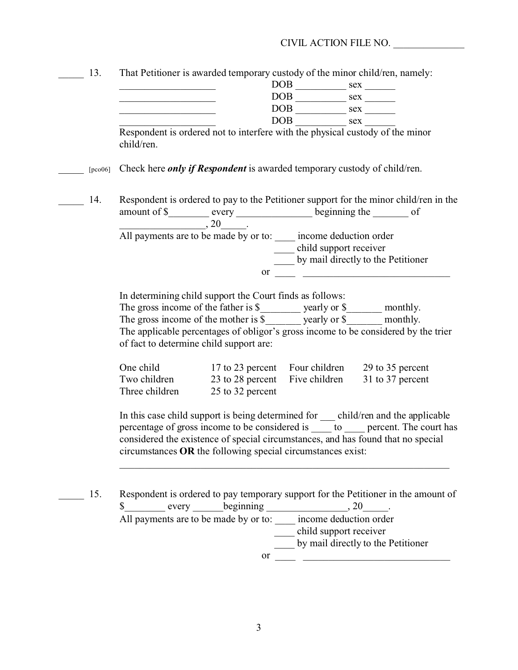#### CIVIL ACTION FILE NO. \_\_\_\_\_\_\_\_\_\_\_\_\_\_

13. That Petitioner is awarded temporary custody of the minor child/ren, namely:

| $\overline{\mathrm{DOB}}$ | sex |  |
|---------------------------|-----|--|
| <b>DOB</b>                | sex |  |
| <b>DOB</b>                | sex |  |
| <b>DOB</b>                | sex |  |

Respondent is ordered not to interfere with the physical custody of the minor child/ren.

\_\_\_\_\_ [pco06] Check here *only if Respondent* is awarded temporary custody of child/ren.

- 14. Respondent is ordered to pay to the Petitioner support for the minor child/ren in the amount of \$\_\_\_\_\_\_\_\_ every \_\_\_\_\_\_\_\_\_\_\_\_\_\_\_\_\_ beginning the \_\_\_\_\_\_\_ of  $\frac{1}{20}$ . All payments are to be made by or to: \_\_\_\_\_ income deduction order child support receiver
	- \_\_\_\_ by mail directly to the Petitioner or  $\Box$

In determining child support the Court finds as follows:

The gross income of the father is \$\_\_\_\_\_\_\_ yearly or \$\_\_\_\_\_\_ monthly.

The gross income of the mother is  $\overline{\$}$  yearly or  $\overline{\$}$  monthly.

The applicable percentages of obligor's gross income to be considered by the trier of fact to determine child support are:

| One child      | 17 to 23 percent               | Four children | 29 to 35 percent |
|----------------|--------------------------------|---------------|------------------|
| Two children   | 23 to 28 percent Five children |               | 31 to 37 percent |
| Three children | 25 to 32 percent               |               |                  |

In this case child support is being determined for \_\_\_ child/ren and the applicable percentage of gross income to be considered is \_\_\_\_ to \_\_\_\_ percent. The court has considered the existence of special circumstances, and has found that no special circumstances **OR** the following special circumstances exist:

 $\_$  , and the set of the set of the set of the set of the set of the set of the set of the set of the set of the set of the set of the set of the set of the set of the set of the set of the set of the set of the set of th

15. Respondent is ordered to pay temporary support for the Petitioner in the amount of  $\frac{\text{S}}{\text{S}}$  every beginning \_\_\_\_\_\_\_\_\_\_\_\_\_\_\_\_, 20\_\_\_\_\_. All payments are to be made by or to: \_\_\_\_\_ income deduction order \_\_\_\_ child support receiver \_\_\_\_ by mail directly to the Petitioner or  $\_\_$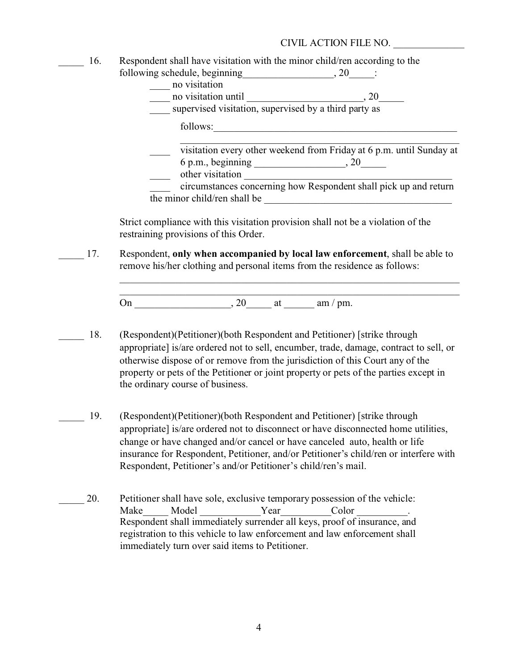#### CIVIL ACTION FILE NO. \_\_\_\_\_\_\_\_\_\_\_\_\_\_

16. Respondent shall have visitation with the minor child/ren according to the following schedule, beginning  $\qquad \qquad , 20 \qquad :$ 

| no visitation                                         |                                                                      |
|-------------------------------------------------------|----------------------------------------------------------------------|
| no visitation until                                   | 20                                                                   |
| supervised visitation, supervised by a third party as |                                                                      |
| follows:                                              |                                                                      |
|                                                       | visitation every other weekend from Friday at 6 p.m. until Sunday at |
| 6 p.m., beginning                                     |                                                                      |
| other visitation                                      |                                                                      |
|                                                       | circumstances concerning how Respondent shall pick up and return     |
| the minor child/ren shall be                          |                                                                      |

Strict compliance with this visitation provision shall not be a violation of the restraining provisions of this Order.

\_\_\_\_\_\_\_\_\_\_\_\_\_\_\_\_\_\_\_\_\_\_\_\_\_\_\_\_\_\_\_\_\_\_\_\_\_\_\_\_\_\_\_\_\_\_\_\_\_\_\_\_\_\_\_\_\_\_\_\_\_\_\_\_\_\_\_ \_\_\_\_\_\_\_\_\_\_\_\_\_\_\_\_\_\_\_\_\_\_\_\_\_\_\_\_\_\_\_\_\_\_\_\_\_\_\_\_\_\_\_\_\_\_\_\_\_\_\_\_\_\_\_\_\_\_\_\_\_\_\_\_\_\_\_

\_\_\_\_\_ 17. Respondent, **only when accompanied by local law enforcement**, shall be able to remove his/her clothing and personal items from the residence as follows:

On  $\qquad \qquad \text{or} \qquad \qquad$   $\qquad \qquad$   $\qquad \text{or} \qquad$   $\qquad \text{or} \qquad$   $\qquad \text{or} \qquad$ 

- 18. (Respondent)(Petitioner)(both Respondent and Petitioner) [strike through appropriate] is/are ordered not to sell, encumber, trade, damage, contract to sell, or otherwise dispose of or remove from the jurisdiction of this Court any of the property or pets of the Petitioner or joint property or pets of the parties except in the ordinary course of business.
	- \_\_\_\_\_ 19. (Respondent)(Petitioner)(both Respondent and Petitioner) [strike through appropriate] is/are ordered not to disconnect or have disconnected home utilities, change or have changed and/or cancel or have canceled auto, health or life insurance for Respondent, Petitioner, and/or Petitioner's child/ren or interfere with Respondent, Petitioner's and/or Petitioner's child/ren's mail.
- 20. Petitioner shall have sole, exclusive temporary possession of the vehicle: Make Model Year Color Color Model Respondent shall immediately surrender all keys, proof of insurance, and registration to this vehicle to law enforcement and law enforcement shall immediately turn over said items to Petitioner.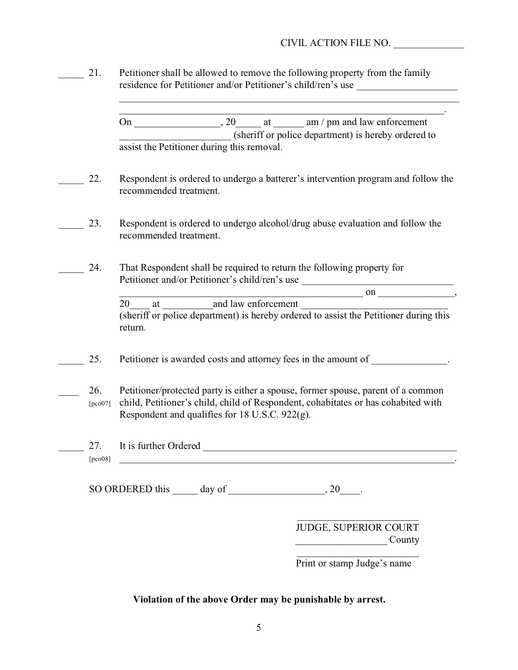## CIVIL ACTION FILE NO. \_\_\_\_\_\_\_\_\_\_\_\_\_\_

21. Petitioner shall be allowed to remove the following property from the family residence for Petitioner and/or Petitioner's child/ren's use

> \_\_\_\_\_\_\_\_\_\_\_\_\_\_\_\_\_\_\_\_\_\_\_\_\_\_\_\_\_\_\_\_\_\_\_\_\_\_\_\_\_\_\_\_\_\_\_\_\_\_\_\_\_\_\_\_\_\_\_\_\_\_\_\_. On  $\frac{1}{20}$ , 20  $\frac{1}{20}$  at  $\frac{1}{20}$  am / pm and law enforcement \_\_\_\_\_\_\_\_\_\_\_\_\_\_\_\_\_\_\_\_\_\_ (sheriff or police department) is hereby ordered to assist the Petitioner during this removal.

\_\_\_\_\_\_\_\_\_\_\_\_\_\_\_\_\_\_\_\_\_\_\_\_\_\_\_\_\_\_\_\_\_\_\_\_\_\_\_\_\_\_\_\_\_\_\_\_\_\_\_\_\_\_\_\_\_\_\_\_\_\_\_\_\_\_\_

- 22. Respondent is ordered to undergo a batterer's intervention program and follow the recommended treatment.
- 23. Respondent is ordered to undergo alcohol/drug abuse evaluation and follow the recommended treatment.
- \_\_\_\_\_ 24. That Respondent shall be required to return the following property for Petitioner and/or Petitioner's child/ren's use

 $\qquad \qquad \text{on} \qquad \qquad ,$ 20 at and law enforcement (sheriff or police department) is hereby ordered to assist the Petitioner during this return.

- 25. Petitioner is awarded costs and attorney fees in the amount of  $\blacksquare$
- 26. Petitioner/protected party is either a spouse, former spouse, parent of a common [pco07] child, Petitioner's child, child of Respondent, cohabitates or has cohabited with Respondent and qualifies for 18 U.S.C. 922(g).
- \_\_\_\_\_ 27. It is further Ordered \_\_\_\_\_\_\_\_\_\_\_\_\_\_\_\_\_\_\_\_\_\_\_\_\_\_\_\_\_\_\_\_\_\_\_\_\_\_\_\_\_\_\_\_\_\_\_\_\_\_  $[\text{pc008}]$

SO ORDERED this day of  $\qquad \qquad , 20$ .

JUDGE, SUPERIOR COURT  $County$ 

 $\overline{\phantom{a}}$  , and the set of the set of the set of the set of the set of the set of the set of the set of the set of the set of the set of the set of the set of the set of the set of the set of the set of the set of the s

\_\_\_\_\_\_\_\_\_\_\_\_\_\_\_\_\_\_\_\_\_\_\_\_ Print or stamp Judge's name

## **Violation of the above Order may be punishable by arrest.**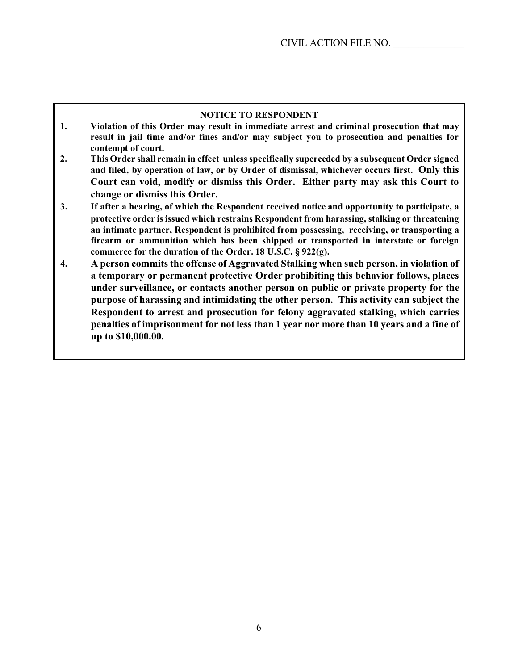#### **NOTICE TO RESPONDENT**

- **1. Violation of this Order may result in immediate arrest and criminal prosecution that may result in jail time and/or fines and/or may subject you to prosecution and penalties for contempt of court.**
- **2. This Order shall remain in effect unless specifically superceded by a subsequent Order signed and filed, by operation of law, or by Order of dismissal, whichever occurs first. Only this Court can void, modify or dismiss this Order. Either party may ask this Court to change or dismiss this Order.**
- **3. If after a hearing, of which the Respondent received notice and opportunity to participate, a protective order is issued which restrains Respondent from harassing, stalking or threatening an intimate partner, Respondent is prohibited from possessing, receiving, or transporting a firearm or ammunition which has been shipped or transported in interstate or foreign commerce for the duration of the Order. 18 U.S.C. § 922(g).**
- **4. A person commits the offense of Aggravated Stalking when such person, in violation of a temporary or permanent protective Order prohibiting this behavior follows, places under surveillance, or contacts another person on public or private property for the purpose of harassing and intimidating the other person. This activity can subject the Respondent to arrest and prosecution for felony aggravated stalking, which carries penalties of imprisonment for not less than 1 year nor more than 10 years and a fine of up to \$10,000.00.**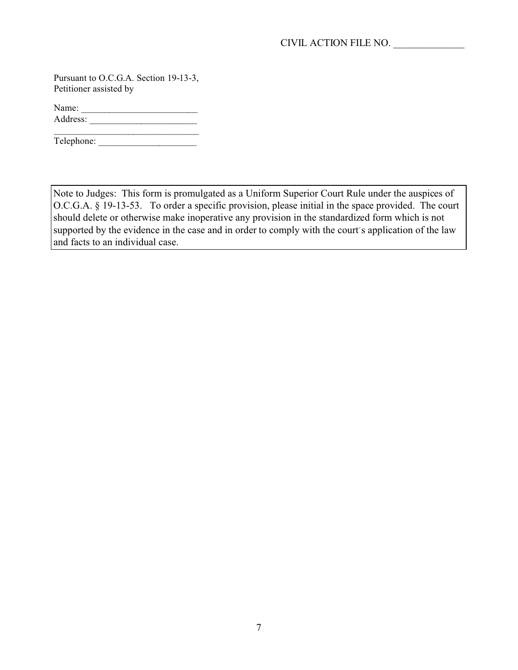Pursuant to O.C.G.A. Section 19-13-3, Petitioner assisted by

Name: \_\_\_\_\_\_\_\_\_\_\_\_\_\_\_\_\_\_\_\_\_\_\_\_\_ Address: \_\_\_\_\_\_\_\_\_\_\_\_\_\_\_\_\_\_\_\_\_\_\_

Telephone:

Note to Judges: This form is promulgated as a Uniform Superior Court Rule under the auspices of O.C.G.A. § 19-13-53. To order a specific provision, please initial in the space provided. The court should delete or otherwise make inoperative any provision in the standardized form which is not supported by the evidence in the case and in order to comply with the court's application of the law and facts to an individual case.